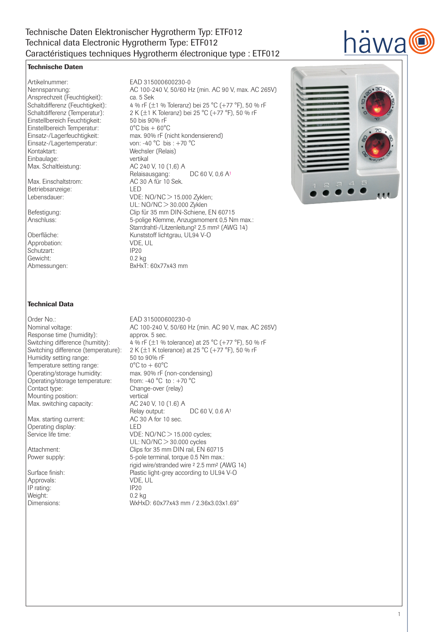# Technische Daten Elektronischer Hygrotherm Typ: ETF012 Technical data Electronic Hygrotherm Type: ETF012 Caractéristiques techniques Hygrotherm électronique type : ETF012

## Technische Daten

Artikelnummer: EAD 315000600230-0 Ansprechzeit (Feuchtigkeit):<br>Schaltdifferenz (Feuchtigkeit): Einstellbereich Feuchtigkeit: Einstellbereich Temperatur: 0°C bis + 60°C<br>Einsatz-/Lagerfeuchtigkeit: max. 90% rF (ni Einsatz-/Lagertemperatur: Kontaktart: Wechsler (Relais) Einbaulage: vertikal Max. Schaltleistung: AC 240 V, 10 (1,6) A

Max. Einschaltstrom: Betriebsanzeige: LED

Approbation: VDE,<br>Schutzart: VOC UP20 Schutzart: IP20<br>Gewicht: 0.2 kg Gewicht:<br>Abmessungen:

Technical Data

Order No.: **EAD 315000600230-0**<br>Nominal voltage: **EAD 315000600230-0**<br>AC 100-240 V. 50/60 F Response time (humidity): approx. 5 sec. Humidity setting range:  $50 \text{ to } 90\% \text{ rF}$ <br>Temperature setting range:  $0^{\circ}\text{C}$  to  $+60^{\circ}\text{C}$ Temperature setting range:  $0^{\circ}C$  to  $+ 60^{\circ}C$ <br>Operating/storage humidity: max. 90% rF (non-condensing) Operating/storage humidity: Operating/storage temperature: from: -40 °C to : +70 °C Contact type: Change-over (relay) Mounting position:<br>
Max. switching capacity: <br>
AC 240 V, 10 (1.6) A Max. switching capacity: <br>Relay output:

Operating display:<br>
Service life time:<br>
VDE

Approvals: VDE,<br>
IP rating: VDE,<br>
IP20 IP rating:<br>
Weight: 0.2 kg Weight:

Nennspannung: AC 100-240 V, 50/60 Hz (min. AC 90 V, max. AC 265V) Schaltdifferenz (Feuchtigkeit): 4 % rF (±1 % Toleranz) bei 25 °C (+77 °F), 50 % rF<br>Schaltdifferenz (Temperatur): 2 K (±1 K Toleranz) bei 25 °C (+77 °F), 50 % rF 2 K ( $\pm$ 1 K Toleranz) bei 25 °C (+77 °F), 50 % rF<br>50 bis 90% rF max. 90% rF (nicht kondensierend) von: -40 °C bis:  $+70$  °C Relaisausgang: DC 60 V, 0,6 A<sup>1</sup><br>AC 30 A für 10 Sek. Lebensdauer: VDE: NO/NC > 15.000 Zyklen; UL: NO/NC > 30.000 Zyklen Befestigung: Clip für 35 mm DIN-Schiene, EN 60715<br>Anschluss: 5-police Klemme. Anzugsmoment 0.5 Nm 5-polige Klemme, Anzugsmoment 0,5 Nm max.: Starrdrahtl-/Litzenleitung² 2,5 mm² (AWG 14) Oberfläche: Kunststoff lichtgrau, UL94 V-O<br>Approbation: VDE, UL BxHxT: 60x77x43 mm



awa

# AC 100-240 V, 50/60 Hz (min. AC 90 V, max. AC 265V)

Switching difference (humitity):  $4\%$  rF ( $\pm 1\%$  tolerance) at 25 °C (+77 °F), 50 % rF<br>Switching difference (temperature):  $2 K (\pm 1 K$  tolerance) at 25 °C (+77 °F), 50 % rF 2 K ( $\pm$ 1 K tolerance) at 25 °C (+77 °F), 50 % rF  $DC 60 V, 0.6 A<sup>1</sup>$ Max. starting current: AC 30 A for 10 sec.  $VDE: NO/NC > 15.000$  cycles; UL: NO/NC > 30.000 cycles Attachment: Clips for 35 mm DIN rail, EN 60715 Power supply:  $5$ -pole terminal, torque 0.5 Nm max.: rigid wire/stranded wire ² 2.5 mm² (AWG 14) Surface finish:<br>
Plastic light-grey according to UL94 V-O<br>
VDE. UL<br>
VDE. UL Dimensions: WxHxD: 60x77x43 mm / 2.36x3.03x1.69"

#### 1